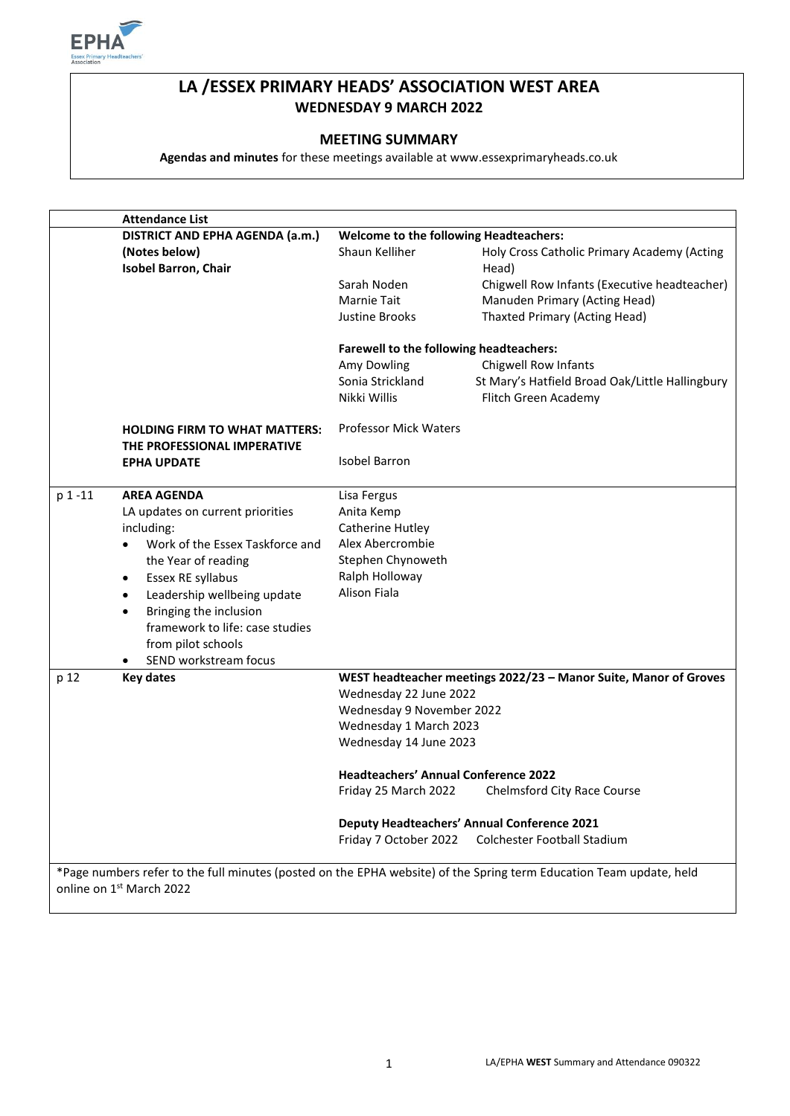

# **LA /ESSEX PRIMARY HEADS' ASSOCIATION WEST AREA WEDNESDAY 9 MARCH 2022**

### **MEETING SUMMARY**

**Agendas and minutes** for these meetings available at www.essexprimaryheads.co.uk

|         | <b>Attendance List</b>                                              |                                               |                                                                  |
|---------|---------------------------------------------------------------------|-----------------------------------------------|------------------------------------------------------------------|
|         | DISTRICT AND EPHA AGENDA (a.m.)                                     | <b>Welcome to the following Headteachers:</b> |                                                                  |
|         | (Notes below)<br><b>Isobel Barron, Chair</b>                        | Shaun Kelliher                                | Holy Cross Catholic Primary Academy (Acting<br>Head)             |
|         |                                                                     | Sarah Noden                                   | Chigwell Row Infants (Executive headteacher)                     |
|         |                                                                     | <b>Marnie Tait</b>                            | Manuden Primary (Acting Head)                                    |
|         |                                                                     | <b>Justine Brooks</b>                         | <b>Thaxted Primary (Acting Head)</b>                             |
|         |                                                                     | Farewell to the following headteachers:       |                                                                  |
|         |                                                                     | Amy Dowling                                   | Chigwell Row Infants                                             |
|         |                                                                     | Sonia Strickland                              | St Mary's Hatfield Broad Oak/Little Hallingbury                  |
|         |                                                                     | Nikki Willis                                  | Flitch Green Academy                                             |
|         | <b>HOLDING FIRM TO WHAT MATTERS:</b><br>THE PROFESSIONAL IMPERATIVE | <b>Professor Mick Waters</b>                  |                                                                  |
|         | <b>EPHA UPDATE</b>                                                  | <b>Isobel Barron</b>                          |                                                                  |
| p 1 -11 | <b>AREA AGENDA</b>                                                  | Lisa Fergus                                   |                                                                  |
|         | LA updates on current priorities                                    | Anita Kemp                                    |                                                                  |
|         | including:                                                          | Catherine Hutley                              |                                                                  |
|         | Work of the Essex Taskforce and<br>$\bullet$                        | Alex Abercrombie                              |                                                                  |
|         | the Year of reading                                                 | Stephen Chynoweth                             |                                                                  |
|         | Essex RE syllabus<br>$\bullet$                                      | Ralph Holloway                                |                                                                  |
|         | Leadership wellbeing update<br>$\bullet$                            | Alison Fiala                                  |                                                                  |
|         | Bringing the inclusion<br>$\bullet$                                 |                                               |                                                                  |
|         | framework to life: case studies                                     |                                               |                                                                  |
|         | from pilot schools                                                  |                                               |                                                                  |
|         | SEND workstream focus                                               |                                               |                                                                  |
| p 12    | <b>Key dates</b>                                                    |                                               | WEST headteacher meetings 2022/23 - Manor Suite, Manor of Groves |
|         |                                                                     | Wednesday 22 June 2022                        |                                                                  |
|         |                                                                     | Wednesday 9 November 2022                     |                                                                  |
|         |                                                                     | Wednesday 1 March 2023                        |                                                                  |
|         |                                                                     | Wednesday 14 June 2023                        |                                                                  |
|         |                                                                     | <b>Headteachers' Annual Conference 2022</b>   |                                                                  |
|         |                                                                     | Friday 25 March 2022                          | Chelmsford City Race Course                                      |
|         |                                                                     |                                               | <b>Deputy Headteachers' Annual Conference 2021</b>               |
|         |                                                                     | Friday 7 October 2022                         | Colchester Football Stadium                                      |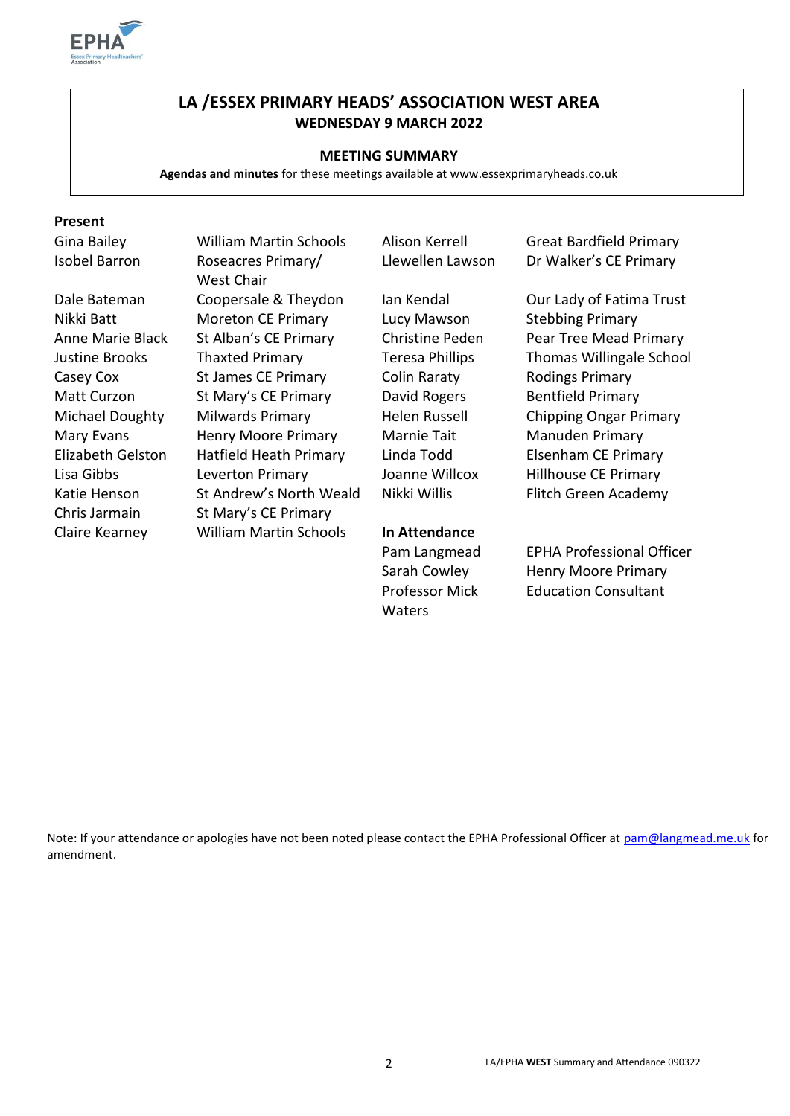

# **LA /ESSEX PRIMARY HEADS' ASSOCIATION WEST AREA WEDNESDAY 9 MARCH 2022**

### **MEETING SUMMARY**

**Agendas and minutes** for these meetings available at www.essexprimaryheads.co.uk

### **Present**

Gina Bailey William Martin Schools Alison Kerrell Great Bardfield Primary Isobel Barron Roseacres Primary/ West Chair Dale Bateman Coopersale & Theydon Ian Kendal Our Lady of Fatima Trust Nikki Batt Moreton CE Primary Lucy Mawson Stebbing Primary Anne Marie Black St Alban's CE Primary Christine Peden Pear Tree Mead Primary Justine Brooks Thaxted Primary Teresa Phillips Thomas Willingale School Casey Cox St James CE Primary Colin Raraty Rodings Primary Matt Curzon St Mary's CE Primary David Rogers Bentfield Primary Michael Doughty Milwards Primary Helen Russell Chipping Ongar Primary Mary Evans **Henry Moore Primary** Marnie Tait Manuden Primary Elizabeth Gelston Hatfield Heath Primary Linda Todd Elsenham CE Primary Lisa Gibbs Leverton Primary Joanne Willcox Hillhouse CE Primary Katie Henson St Andrew's North Weald Nikki Willis Flitch Green Academy Chris Jarmain St Mary's CE Primary Claire Kearney William Martin Schools **In Attendance**

Professor Mick **Waters** 

Llewellen Lawson Dr Walker's CE Primary

Pam Langmead EPHA Professional Officer Sarah Cowley Henry Moore Primary Education Consultant

Note: If your attendance or apologies have not been noted please contact the EPHA Professional Officer at [pam@langmead.me.uk](mailto:pam@langmead.me.uk) for amendment.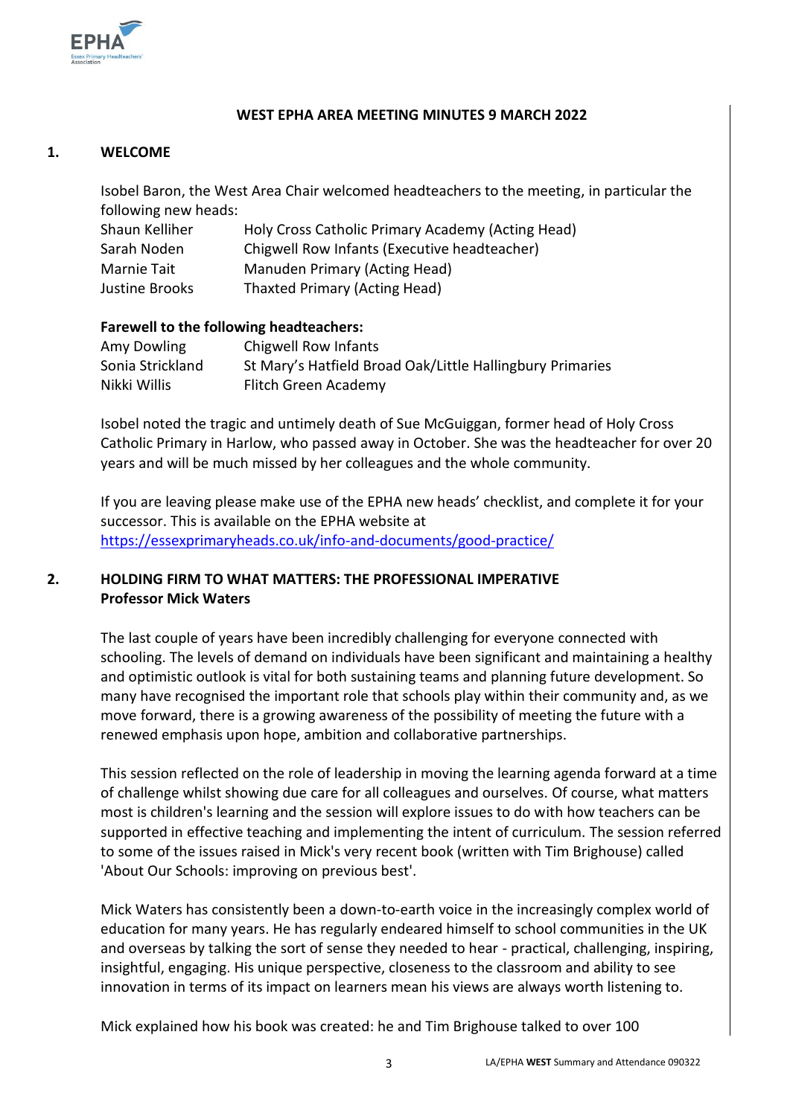

## **WEST EPHA AREA MEETING MINUTES 9 MARCH 2022**

## **1. WELCOME**

Isobel Baron, the West Area Chair welcomed headteachers to the meeting, in particular the following new heads:

| Shaun Kelliher | Holy Cross Catholic Primary Academy (Acting Head) |
|----------------|---------------------------------------------------|
| Sarah Noden    | Chigwell Row Infants (Executive headteacher)      |
| Marnie Tait    | Manuden Primary (Acting Head)                     |
| Justine Brooks | Thaxted Primary (Acting Head)                     |

### **Farewell to the following headteachers:**

| Amy Dowling      | Chigwell Row Infants                                      |
|------------------|-----------------------------------------------------------|
| Sonia Strickland | St Mary's Hatfield Broad Oak/Little Hallingbury Primaries |
| Nikki Willis     | Flitch Green Academy                                      |

Isobel noted the tragic and untimely death of Sue McGuiggan, former head of Holy Cross Catholic Primary in Harlow, who passed away in October. She was the headteacher for over 20 years and will be much missed by her colleagues and the whole community.

If you are leaving please make use of the EPHA new heads' checklist, and complete it for your successor. This is available on the EPHA website at <https://essexprimaryheads.co.uk/info-and-documents/good-practice/>

# **2. HOLDING FIRM TO WHAT MATTERS: THE PROFESSIONAL IMPERATIVE Professor Mick Waters**

The last couple of years have been incredibly challenging for everyone connected with schooling. The levels of demand on individuals have been significant and maintaining a healthy and optimistic outlook is vital for both sustaining teams and planning future development. So many have recognised the important role that schools play within their community and, as we move forward, there is a growing awareness of the possibility of meeting the future with a renewed emphasis upon hope, ambition and collaborative partnerships.

This session reflected on the role of leadership in moving the learning agenda forward at a time of challenge whilst showing due care for all colleagues and ourselves. Of course, what matters most is children's learning and the session will explore issues to do with how teachers can be supported in effective teaching and implementing the intent of curriculum. The session referred to some of the issues raised in Mick's very recent book (written with Tim Brighouse) called 'About Our Schools: improving on previous best'.

Mick Waters has consistently been a down-to-earth voice in the increasingly complex world of education for many years. He has regularly endeared himself to school communities in the UK and overseas by talking the sort of sense they needed to hear - practical, challenging, inspiring, insightful, engaging. His unique perspective, closeness to the classroom and ability to see innovation in terms of its impact on learners mean his views are always worth listening to.

Mick explained how his book was created: he and Tim Brighouse talked to over 100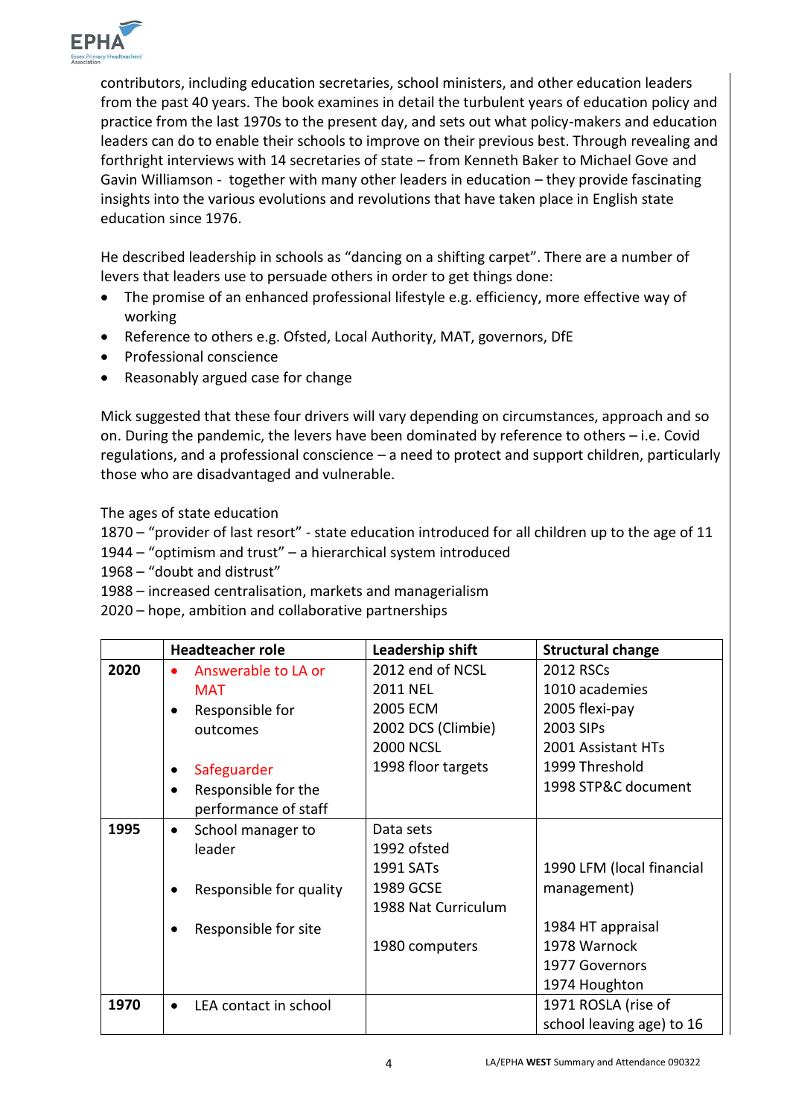

contributors, including education secretaries, school ministers, and other education leaders from the past 40 years. The book examines in detail the turbulent years of education policy and practice from the last 1970s to the present day, and sets out what policy-makers and education leaders can do to enable their schools to improve on their previous best. Through revealing and forthright interviews with 14 secretaries of state – from Kenneth Baker to Michael Gove and Gavin Williamson - together with many other leaders in education – they provide fascinating insights into the various evolutions and revolutions that have taken place in English state education since 1976.

He described leadership in schools as "dancing on a shifting carpet". There are a number of levers that leaders use to persuade others in order to get things done:

- The promise of an enhanced professional lifestyle e.g. efficiency, more effective way of working
- Reference to others e.g. Ofsted, Local Authority, MAT, governors, DfE
- Professional conscience
- Reasonably argued case for change

Mick suggested that these four drivers will vary depending on circumstances, approach and so on. During the pandemic, the levers have been dominated by reference to others – i.e. Covid regulations, and a professional conscience – a need to protect and support children, particularly those who are disadvantaged and vulnerable.

The ages of state education

1870 – "provider of last resort" - state education introduced for all children up to the age of 11

1944 – "optimism and trust" – a hierarchical system introduced

1968 – "doubt and distrust"

1988 – increased centralisation, markets and managerialism

2020 – hope, ambition and collaborative partnerships

|      | <b>Headteacher role</b> |                         | Leadership shift      | <b>Structural change</b>  |
|------|-------------------------|-------------------------|-----------------------|---------------------------|
| 2020 |                         | Answerable to LA or     | 2012 end of NCSL      | 2012 RSCs                 |
|      |                         | <b>MAT</b>              | <b>2011 NEL</b>       | 1010 academies            |
|      |                         | Responsible for         | 2005 ECM              | 2005 flexi-pay            |
|      |                         | outcomes                | 2002 DCS (Climbie)    | 2003 SIPs                 |
|      |                         |                         | <b>2000 NCSL</b>      | 2001 Assistant HTs        |
|      |                         | Safeguarder             | 1998 floor targets    | 1999 Threshold            |
|      | $\bullet$               | Responsible for the     |                       | 1998 STP&C document       |
|      |                         | performance of staff    |                       |                           |
| 1995 | $\bullet$               | School manager to       | Data sets             |                           |
|      |                         | leader                  | 1992 ofsted           |                           |
|      |                         |                         | 1991 SAT <sub>s</sub> | 1990 LFM (local financial |
|      |                         | Responsible for quality | 1989 GCSE             | management)               |
|      |                         |                         | 1988 Nat Curriculum   |                           |
|      |                         | Responsible for site    |                       | 1984 HT appraisal         |
|      |                         |                         | 1980 computers        | 1978 Warnock              |
|      |                         |                         |                       | 1977 Governors            |
|      |                         |                         |                       | 1974 Houghton             |
| 1970 |                         | LEA contact in school   |                       | 1971 ROSLA (rise of       |
|      |                         |                         |                       | school leaving age) to 16 |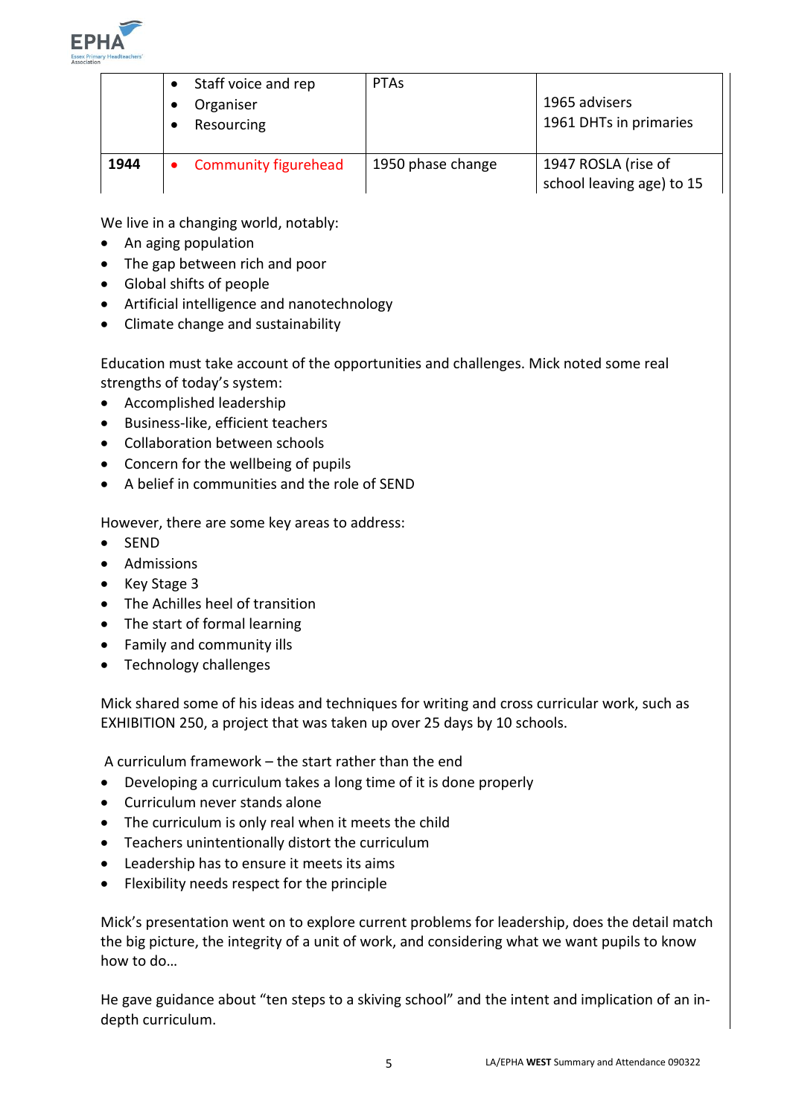

|      | Staff voice and rep<br>Organiser<br>Resourcing | <b>PTAS</b>       | 1965 advisers<br>1961 DHTs in primaries          |
|------|------------------------------------------------|-------------------|--------------------------------------------------|
| 1944 | <b>Community figurehead</b>                    | 1950 phase change | 1947 ROSLA (rise of<br>school leaving age) to 15 |

We live in a changing world, notably:

- An aging population
- The gap between rich and poor
- Global shifts of people
- Artificial intelligence and nanotechnology
- Climate change and sustainability

Education must take account of the opportunities and challenges. Mick noted some real strengths of today's system:

- Accomplished leadership
- Business-like, efficient teachers
- Collaboration between schools
- Concern for the wellbeing of pupils
- A belief in communities and the role of SEND

However, there are some key areas to address:

- SEND
- Admissions
- Key Stage 3
- The Achilles heel of transition
- The start of formal learning
- Family and community ills
- Technology challenges

Mick shared some of his ideas and techniques for writing and cross curricular work, such as EXHIBITION 250, a project that was taken up over 25 days by 10 schools.

A curriculum framework – the start rather than the end

- Developing a curriculum takes a long time of it is done properly
- Curriculum never stands alone
- The curriculum is only real when it meets the child
- Teachers unintentionally distort the curriculum
- Leadership has to ensure it meets its aims
- Flexibility needs respect for the principle

Mick's presentation went on to explore current problems for leadership, does the detail match the big picture, the integrity of a unit of work, and considering what we want pupils to know how to do…

He gave guidance about "ten steps to a skiving school" and the intent and implication of an indepth curriculum.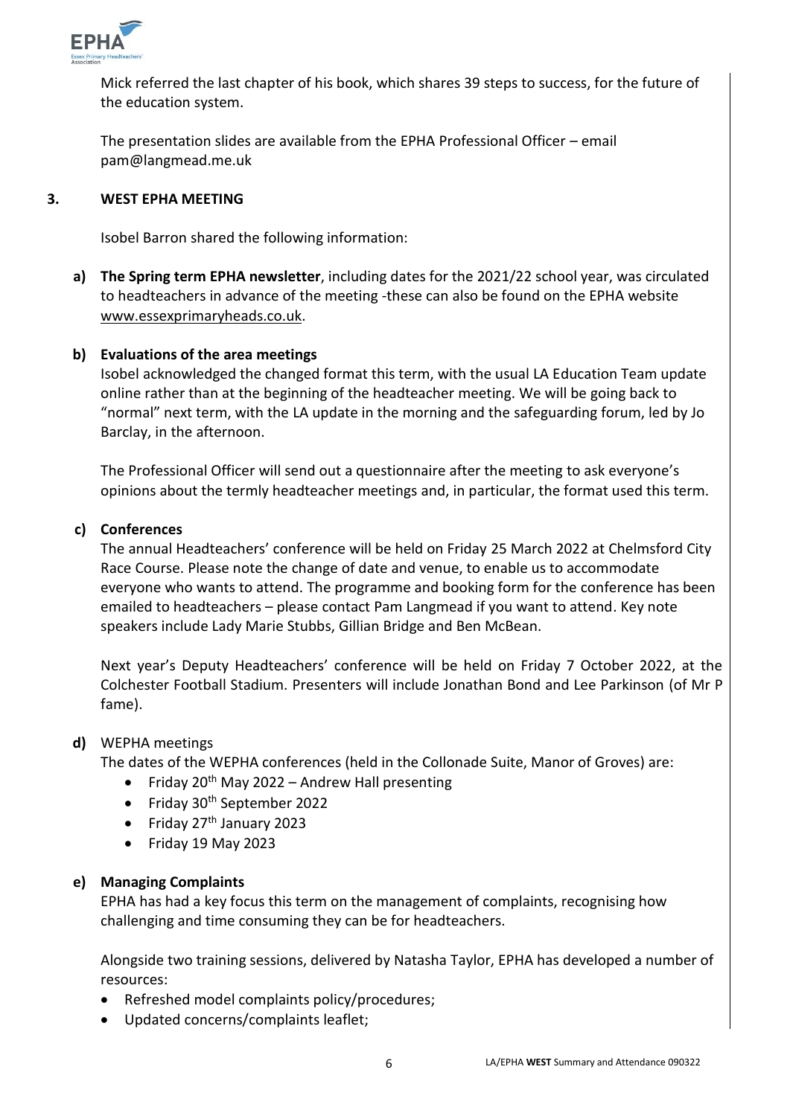

Mick referred the last chapter of his book, which shares 39 steps to success, for the future of the education system.

The presentation slides are available from the EPHA Professional Officer – email pam@langmead.me.uk

#### **3. WEST EPHA MEETING**

Isobel Barron shared the following information:

**a) The Spring term EPHA newsletter**, including dates for the 2021/22 school year, was circulated to headteachers in advance of the meeting -these can also be found on the EPHA website [www.essexprimaryheads.co.uk.](http://www.essexprimaryheads.co.uk/)

# **b) Evaluations of the area meetings**

Isobel acknowledged the changed format this term, with the usual LA Education Team update online rather than at the beginning of the headteacher meeting. We will be going back to "normal" next term, with the LA update in the morning and the safeguarding forum, led by Jo Barclay, in the afternoon.

The Professional Officer will send out a questionnaire after the meeting to ask everyone's opinions about the termly headteacher meetings and, in particular, the format used this term.

## **c) Conferences**

The annual Headteachers' conference will be held on Friday 25 March 2022 at Chelmsford City Race Course. Please note the change of date and venue, to enable us to accommodate everyone who wants to attend. The programme and booking form for the conference has been emailed to headteachers – please contact Pam Langmead if you want to attend. Key note speakers include Lady Marie Stubbs, Gillian Bridge and Ben McBean.

Next year's Deputy Headteachers' conference will be held on Friday 7 October 2022, at the Colchester Football Stadium. Presenters will include Jonathan Bond and Lee Parkinson (of Mr P fame).

### **d)** WEPHA meetings

The dates of the WEPHA conferences (held in the Collonade Suite, Manor of Groves) are:

- Friday  $20^{th}$  May 2022 Andrew Hall presenting
- Friday 30<sup>th</sup> September 2022
- Friday  $27<sup>th</sup>$  January 2023
- Friday 19 May 2023

## **e) Managing Complaints**

EPHA has had a key focus this term on the management of complaints, recognising how challenging and time consuming they can be for headteachers.

Alongside two training sessions, delivered by Natasha Taylor, EPHA has developed a number of resources:

- Refreshed model complaints policy/procedures;
- Updated concerns/complaints leaflet;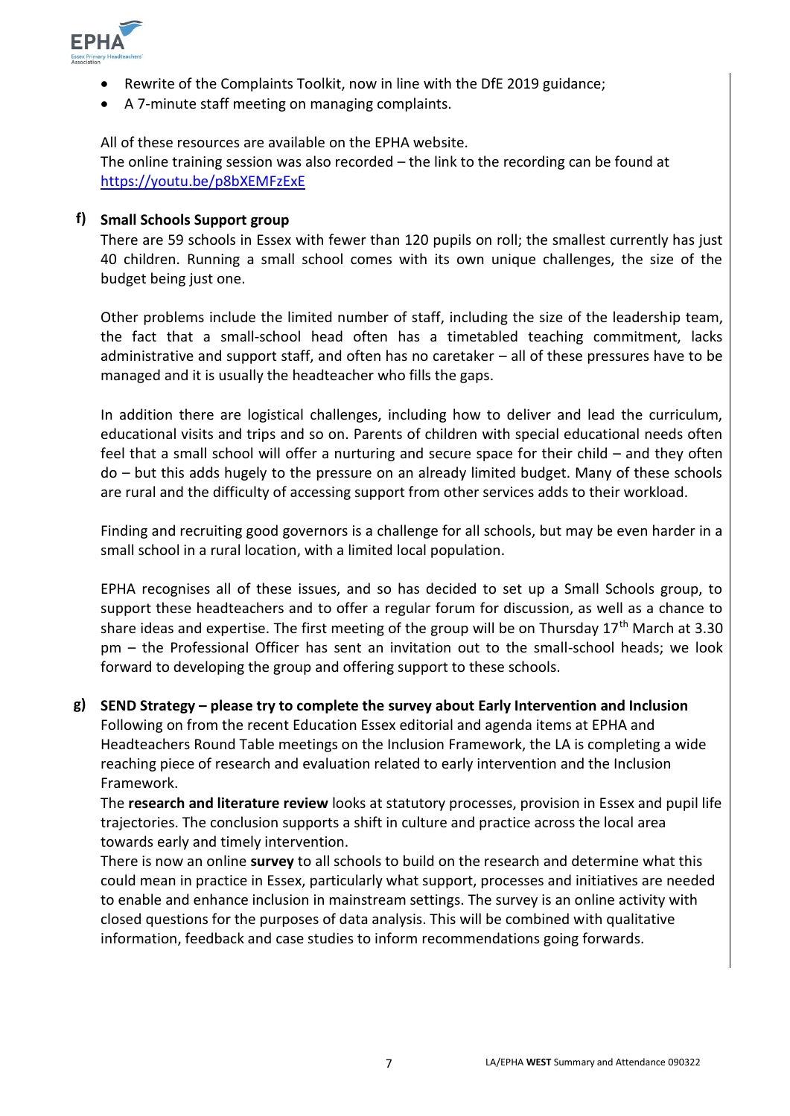

- Rewrite of the Complaints Toolkit, now in line with the DfE 2019 guidance;
- A 7-minute staff meeting on managing complaints.

All of these resources are available on the EPHA website.

The online training session was also recorded – the link to the recording can be found at <https://youtu.be/p8bXEMFzExE>

### **f) Small Schools Support group**

There are 59 schools in Essex with fewer than 120 pupils on roll; the smallest currently has just 40 children. Running a small school comes with its own unique challenges, the size of the budget being just one.

Other problems include the limited number of staff, including the size of the leadership team, the fact that a small-school head often has a timetabled teaching commitment, lacks administrative and support staff, and often has no caretaker – all of these pressures have to be managed and it is usually the headteacher who fills the gaps.

In addition there are logistical challenges, including how to deliver and lead the curriculum, educational visits and trips and so on. Parents of children with special educational needs often feel that a small school will offer a nurturing and secure space for their child – and they often do – but this adds hugely to the pressure on an already limited budget. Many of these schools are rural and the difficulty of accessing support from other services adds to their workload.

Finding and recruiting good governors is a challenge for all schools, but may be even harder in a small school in a rural location, with a limited local population.

EPHA recognises all of these issues, and so has decided to set up a Small Schools group, to support these headteachers and to offer a regular forum for discussion, as well as a chance to share ideas and expertise. The first meeting of the group will be on Thursday  $17<sup>th</sup>$  March at 3.30 pm – the Professional Officer has sent an invitation out to the small-school heads; we look forward to developing the group and offering support to these schools.

**g) SEND Strategy – please try to complete the survey about Early Intervention and Inclusion** Following on from the recent Education Essex editorial and agenda items at EPHA and Headteachers Round Table meetings on the Inclusion Framework, the LA is completing a wide reaching piece of research and evaluation related to early intervention and the Inclusion Framework.

The **research and literature review** looks at statutory processes, provision in Essex and pupil life trajectories. The conclusion supports a shift in culture and practice across the local area towards early and timely intervention.

There is now an online **survey** to all schools to build on the research and determine what this could mean in practice in Essex, particularly what support, processes and initiatives are needed to enable and enhance inclusion in mainstream settings. The survey is an online activity with closed questions for the purposes of data analysis. This will be combined with qualitative information, feedback and case studies to inform recommendations going forwards.